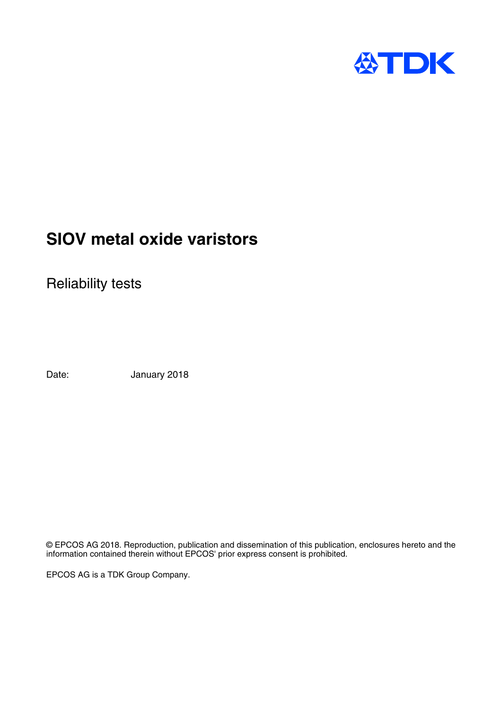

# **SIOV metal oxide varistors**

Reliability tests

Date: January 2018

© EPCOS AG 2018. Reproduction, publication and dissemination of this publication, enclosures hereto and the information contained therein without EPCOS' prior express consent is prohibited.

EPCOS AG is a TDK Group Company.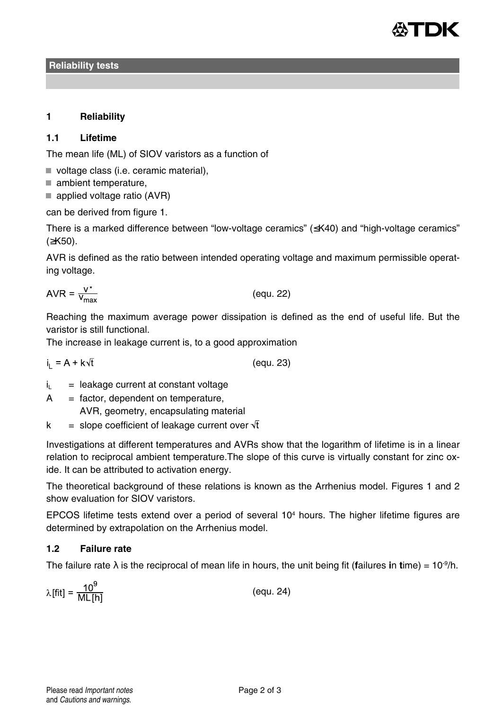

**Reliability tests**

# **1 Reliability**

## **1.1 Lifetime**

The mean life (ML) of SIOV varistors as a function of

- voltage class (i.e. ceramic material),
- ambient temperature.
- $\blacksquare$  applied voltage ratio (AVR)

can be derived from figure 1.

There is a marked difference between "low-voltage ceramics" (≤K40) and "high-voltage ceramics" (≥K50).

AVR is defined as the ratio between intended operating voltage and maximum permissible operating voltage.

$$
AVR = \frac{V^*}{V_{\text{max}}}
$$
 (equ. 22)

Reaching the maximum average power dissipation is defined as the end of useful life. But the varistor is still functional.

The increase in leakage current is, to a good approximation

 $i_1 = A + k\sqrt{t}$ (equ. 23)

- $i_L$  = leakage current at constant voltage
- $A =$  factor, dependent on temperature,
	- AVR, geometry, encapsulating material
- $k =$  slope coefficient of leakage current over  $\sqrt{t}$

Investigations at different temperatures and AVRs show that the logarithm of lifetime is in a linear relation to reciprocal ambient temperature.The slope of this curve is virtually constant for zinc oxide. It can be attributed to activation energy.

The theoretical background of these relations is known as the Arrhenius model. Figures 1 and 2 show evaluation for SIOV varistors.

EPCOS lifetime tests extend over a period of several  $10<sup>4</sup>$  hours. The higher lifetime figures are determined by extrapolation on the Arrhenius model.

# **1.2 Failure rate**

The failure rate  $\lambda$  is the reciprocal of mean life in hours, the unit being fit (failures in time) =  $10^9/h$ .

$$
\lambda[\text{fit}] = \frac{10^9}{\text{ML[h]}}\tag{equ.24}
$$